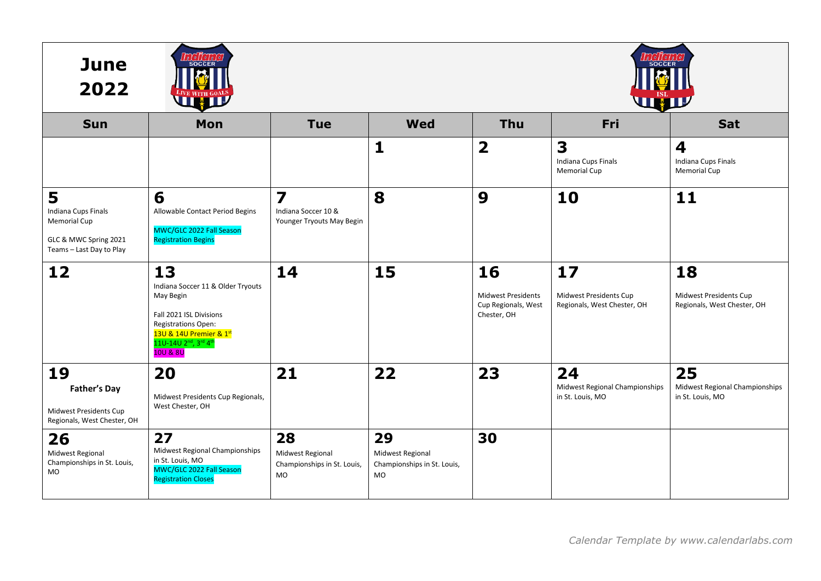| <b>June</b><br>2022                                                                                  | <b>SOCCER</b><br><b>THE REAL PROPERTY</b>                                                                                                                                        | 1019119<br><b>SOCCEF</b><br>WHIP                                            |                                                                    |                                                                       |                                                             |                                                             |  |
|------------------------------------------------------------------------------------------------------|----------------------------------------------------------------------------------------------------------------------------------------------------------------------------------|-----------------------------------------------------------------------------|--------------------------------------------------------------------|-----------------------------------------------------------------------|-------------------------------------------------------------|-------------------------------------------------------------|--|
| <b>Sun</b>                                                                                           | Mon                                                                                                                                                                              | <b>Tue</b>                                                                  | <b>Wed</b>                                                         | <b>Thu</b>                                                            | Fri                                                         | Sat                                                         |  |
|                                                                                                      |                                                                                                                                                                                  |                                                                             | 1                                                                  | $\overline{\mathbf{2}}$                                               | 3<br>Indiana Cups Finals<br><b>Memorial Cup</b>             | 4<br>Indiana Cups Finals<br>Memorial Cup                    |  |
| 5<br>Indiana Cups Finals<br><b>Memorial Cup</b><br>GLC & MWC Spring 2021<br>Teams - Last Day to Play | 6<br>Allowable Contact Period Begins<br>MWC/GLC 2022 Fall Season<br><b>Registration Begins</b>                                                                                   | $\overline{\mathbf{z}}$<br>Indiana Soccer 10 &<br>Younger Tryouts May Begin | 8                                                                  | 9                                                                     | 10                                                          | 11                                                          |  |
| 12                                                                                                   | 13<br>Indiana Soccer 11 & Older Tryouts<br>May Begin<br>Fall 2021 ISL Divisions<br>Registrations Open:<br>13U & 14U Premier & 1st<br>11U-14U 2nd, 3rd 4th<br><b>10U &amp; 8U</b> | 14                                                                          | 15                                                                 | 16<br><b>Midwest Presidents</b><br>Cup Regionals, West<br>Chester, OH | 17<br>Midwest Presidents Cup<br>Regionals, West Chester, OH | 18<br>Midwest Presidents Cup<br>Regionals, West Chester, OH |  |
| 19<br><b>Father's Day</b><br>Midwest Presidents Cup<br>Regionals, West Chester, OH                   | 20<br>Midwest Presidents Cup Regionals,<br>West Chester, OH                                                                                                                      | 21                                                                          | 22                                                                 | 23                                                                    | 24<br>Midwest Regional Championships<br>in St. Louis, MO    | 25<br>Midwest Regional Championships<br>in St. Louis, MO    |  |
| 26<br>Midwest Regional<br>Championships in St. Louis,<br><b>MO</b>                                   | 27<br>Midwest Regional Championships<br>in St. Louis, MO<br>MWC/GLC 2022 Fall Season<br><b>Registration Closes</b>                                                               | 28<br>Midwest Regional<br>Championships in St. Louis,<br>MO                 | 29<br>Midwest Regional<br>Championships in St. Louis,<br><b>MO</b> | 30                                                                    |                                                             |                                                             |  |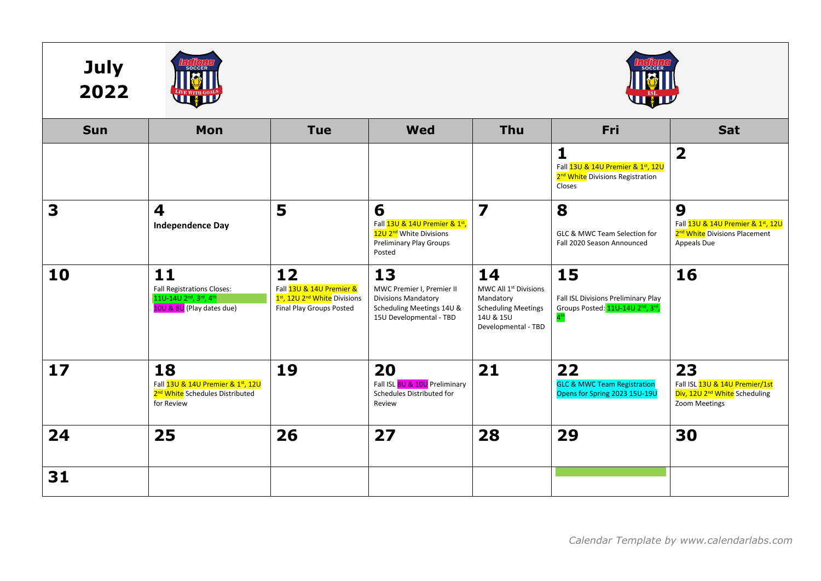





| <b>Sun</b> | Mon                                                                                                                                 | <b>Tue</b>                                                                                             | <b>Wed</b>                                                                                                            | <b>Thu</b>                                                                                                             | Fri                                                                                                                        | Sat                                                                                                |
|------------|-------------------------------------------------------------------------------------------------------------------------------------|--------------------------------------------------------------------------------------------------------|-----------------------------------------------------------------------------------------------------------------------|------------------------------------------------------------------------------------------------------------------------|----------------------------------------------------------------------------------------------------------------------------|----------------------------------------------------------------------------------------------------|
|            |                                                                                                                                     |                                                                                                        |                                                                                                                       |                                                                                                                        | $\mathbf{1}$<br>Fall 13U & 14U Premier & 1st, 12U<br>2 <sup>nd</sup> White Divisions Registration<br>Closes                | $\overline{\mathbf{2}}$                                                                            |
| 3          | 4<br><b>Independence Day</b>                                                                                                        | 5                                                                                                      | 6<br>Fall 13U & 14U Premier & 1st,<br>12U 2 <sup>nd</sup> White Divisions<br><b>Preliminary Play Groups</b><br>Posted | $\overline{\mathbf{z}}$                                                                                                | 8<br>GLC & MWC Team Selection for<br>Fall 2020 Season Announced                                                            | 9<br>Fall 13U & 14U Premier & 1st, 12U<br>2 <sup>nd</sup> White Divisions Placement<br>Appeals Due |
| 10         | 11<br><b>Fall Registrations Closes:</b><br>11U-14U 2 <sup>nd</sup> , 3 <sup>rd</sup> , 4 <sup>th</sup><br>10U & 8U (Play dates due) | 12<br>Fall 13U & 14U Premier &<br>1st, 12U 2 <sup>nd</sup> White Divisions<br>Final Play Groups Posted | 13<br>MWC Premier I, Premier II<br><b>Divisions Mandatory</b><br>Scheduling Meetings 14U &<br>15U Developmental - TBD | 14<br>MWC All 1 <sup>st</sup> Divisions<br>Mandatory<br><b>Scheduling Meetings</b><br>14U & 15U<br>Developmental - TBD | 15<br>Fall ISL Divisions Preliminary Play<br>Groups Posted: 11U-14U 2 <sup>nd</sup> , 3 <sup>rd</sup> ,<br>$4^{\text{th}}$ | 16                                                                                                 |
| 17         | 18<br>Fall 13U & 14U Premier & 1st, 12U<br>2 <sup>nd</sup> White Schedules Distributed<br>for Review                                | 19                                                                                                     | 20<br>Fall ISL 8U & 10U Preliminary<br>Schedules Distributed for<br>Review                                            | 21                                                                                                                     | 22<br><b>GLC &amp; MWC Team Registration</b><br>Opens for Spring 2023 15U-19U                                              | 23<br>Fall ISL 13U & 14U Premier/1st<br>Div, 12U 2 <sup>nd</sup> White Scheduling<br>Zoom Meetings |
| 24         | 25                                                                                                                                  | 26                                                                                                     | 27                                                                                                                    | 28                                                                                                                     | 29                                                                                                                         | 30                                                                                                 |
| 31         |                                                                                                                                     |                                                                                                        |                                                                                                                       |                                                                                                                        |                                                                                                                            |                                                                                                    |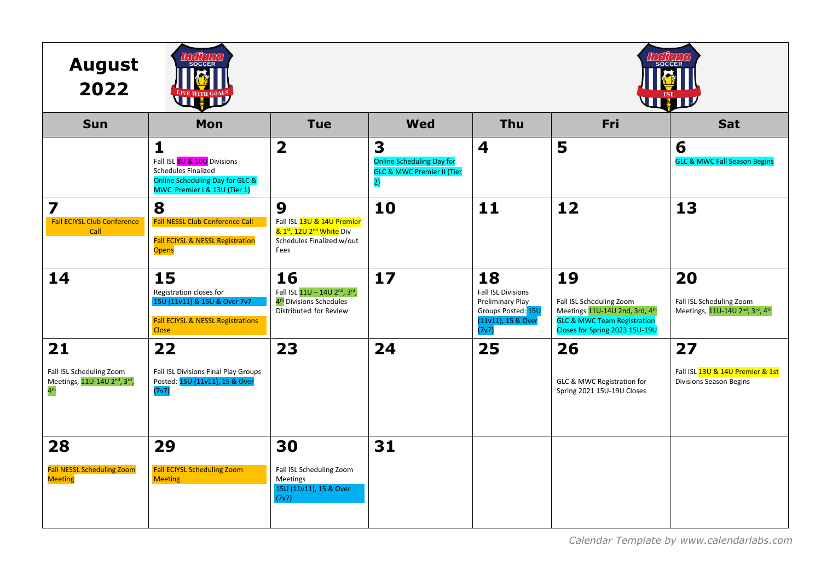| <b>August</b><br>2022                                                                         | 10110101<br><b>SOCCER</b><br>LIVE WITH GOALS                                                                                          |                                                                                                              | <i>aleileial</i><br><b>SOCCER</b><br>WHIP                                            |                                                                                                   |                                                                                                                                              |                                                                          |
|-----------------------------------------------------------------------------------------------|---------------------------------------------------------------------------------------------------------------------------------------|--------------------------------------------------------------------------------------------------------------|--------------------------------------------------------------------------------------|---------------------------------------------------------------------------------------------------|----------------------------------------------------------------------------------------------------------------------------------------------|--------------------------------------------------------------------------|
| <b>Sun</b>                                                                                    | Mon                                                                                                                                   | <b>Tue</b>                                                                                                   | <b>Wed</b>                                                                           | <b>Thu</b>                                                                                        | Fri                                                                                                                                          | Sat                                                                      |
|                                                                                               | $\mathbf{1}$<br>Fall ISL 8U & 10U Divisions<br>Schedules Finalized<br>Online Scheduling Day for GLC &<br>MWC Premier I & 13U (Tier 1) | $\overline{\mathbf{2}}$                                                                                      | 3<br><b>Online Scheduling Day for</b><br><b>GLC &amp; MWC Premier II (Tier</b><br>2) | 4                                                                                                 | 5                                                                                                                                            | 6<br><b>GLC &amp; MWC Fall Season Begins</b>                             |
| 7<br><b>Fall ECIYSL Club Conference</b><br>Call                                               | 8<br><b>Fall NESSL Club Conference Call</b><br><b>Fall ECIYSL &amp; NESSL Registration</b><br><b>Opens</b>                            | 9<br>Fall ISL 13U & 14U Premier<br>& 1st, 12U 2 <sup>nd</sup> White Div<br>Schedules Finalized w/out<br>Fees | 10                                                                                   | $11$                                                                                              | 12                                                                                                                                           | 13                                                                       |
| 14                                                                                            | 15<br>Registration closes for<br>15U (11v11) & 15U & Over 7v7<br><b>Fall ECIYSL &amp; NESSL Registrations</b><br><b>Close</b>         | 16<br>Fall ISL 11U - 14U 2nd, 3rd,<br>4 <sup>th</sup> Divisions Schedules<br>Distributed for Review          | 17                                                                                   | 18<br>Fall ISL Divisions<br>Preliminary Play<br>Groups Posted: 15U<br>(11v11), 15 & Over<br>(7v7) | 19<br>Fall ISL Scheduling Zoom<br>Meetings 11U-14U 2nd, 3rd, 4th<br><b>GLC &amp; MWC Team Registration</b><br>Closes for Spring 2023 15U-19U | 20<br>Fall ISL Scheduling Zoom<br>Meetings, 11U-14U 2nd, 3rd, 4th        |
| 21<br>Fall ISL Scheduling Zoom<br>Meetings, 11U-14U 2 <sup>nd</sup> , 3rd,<br>4 <sup>th</sup> | 22<br>Fall ISL Divisions Final Play Groups<br>Posted: 15U (11v11), 15 & Over<br>(7v7)                                                 | 23                                                                                                           | 24                                                                                   | 25                                                                                                | 26<br>GLC & MWC Registration for<br>Spring 2021 15U-19U Closes                                                                               | 27<br>Fall ISL 13U & 14U Premier & 1st<br><b>Divisions Season Begins</b> |
| 28<br><b>Fall NESSL Scheduling Zoom</b><br><b>Meeting</b>                                     | 29<br><b>Fall ECIYSL Scheduling Zoom</b><br><b>Meeting</b>                                                                            | 30<br>Fall ISL Scheduling Zoom<br>Meetings<br>15U (11v11), 15 & Over<br>(7v7)                                | 31                                                                                   |                                                                                                   |                                                                                                                                              |                                                                          |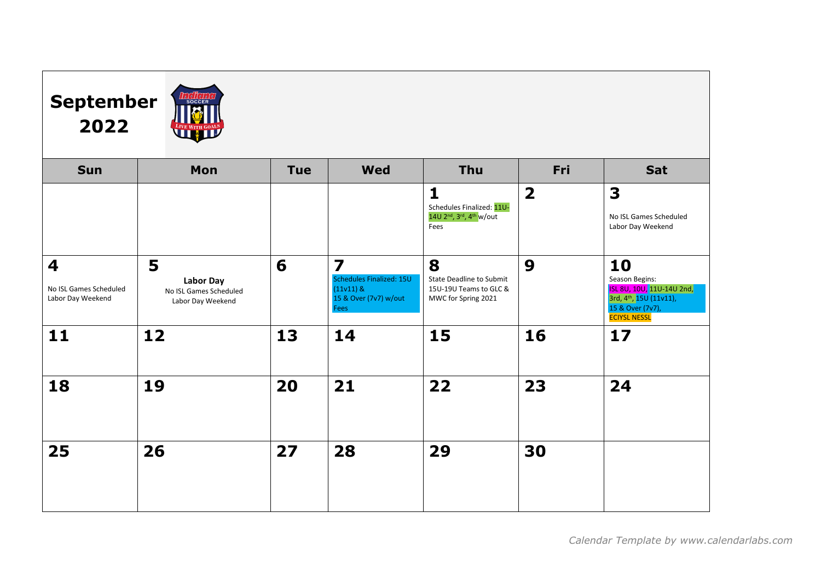## **September 2022**



| <b>Sun</b>                                                             | Mon                                                                  | <b>Tue</b> | <b>Wed</b>                                                                                                 | <b>Thu</b>                                                                                                         | Fri                     | Sat                                                                                                                                 |
|------------------------------------------------------------------------|----------------------------------------------------------------------|------------|------------------------------------------------------------------------------------------------------------|--------------------------------------------------------------------------------------------------------------------|-------------------------|-------------------------------------------------------------------------------------------------------------------------------------|
|                                                                        |                                                                      |            |                                                                                                            | $\mathbf{1}$<br>Schedules Finalized: 11U-<br>14U 2 <sup>nd</sup> , 3 <sup>rd</sup> , 4 <sup>th</sup> w/out<br>Fees | $\overline{\mathbf{2}}$ | 3<br>No ISL Games Scheduled<br>Labor Day Weekend                                                                                    |
| $\overline{\mathbf{4}}$<br>No ISL Games Scheduled<br>Labor Day Weekend | 5<br><b>Labor Day</b><br>No ISL Games Scheduled<br>Labor Day Weekend | 6          | $\overline{\mathbf{z}}$<br>Schedules Finalized: 15U<br>$(11v11)$ &<br>15 & Over (7v7) w/out<br><b>Fees</b> | 8<br>State Deadline to Submit<br>15U-19U Teams to GLC &<br>MWC for Spring 2021                                     | 9                       | 10<br>Season Begins:<br>ISL 8U, 10U, 11U-14U 2nd,<br>3rd, 4 <sup>th</sup> , 15U (11v11),<br>15 & Over (7v7),<br><b>ECIYSL NESSL</b> |
| 11                                                                     | 12                                                                   | 13         | 14                                                                                                         | 15                                                                                                                 | 16                      | $17$                                                                                                                                |
| 18                                                                     | 19                                                                   | 20         | 21                                                                                                         | 22                                                                                                                 | 23                      | 24                                                                                                                                  |
| 25                                                                     | 26                                                                   | 27         | 28                                                                                                         | 29                                                                                                                 | 30                      |                                                                                                                                     |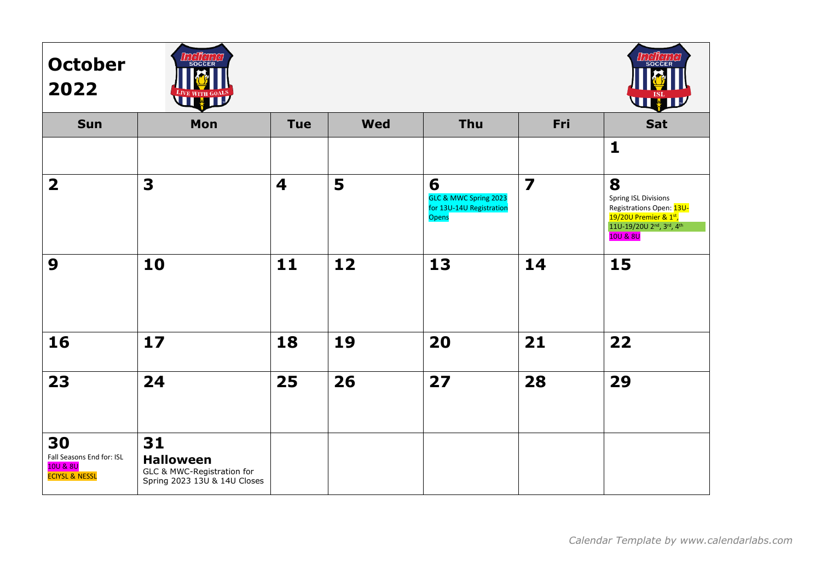| <b>October</b><br>2022                                                   | <b>Incient</b><br>LIVE WITH GOALS                                                    |            |            |                                                                        |                         | <b>LEQUELLO</b><br>SOCCER<br><b>THE SECTION</b>                                                                                                                     |
|--------------------------------------------------------------------------|--------------------------------------------------------------------------------------|------------|------------|------------------------------------------------------------------------|-------------------------|---------------------------------------------------------------------------------------------------------------------------------------------------------------------|
| <b>Sun</b>                                                               | Mon                                                                                  | <b>Tue</b> | <b>Wed</b> | Thu                                                                    | Fri                     | Sat                                                                                                                                                                 |
|                                                                          |                                                                                      |            |            |                                                                        |                         | $\mathbf{1}$                                                                                                                                                        |
| $\overline{\mathbf{2}}$                                                  | 3                                                                                    | 4          | 5          | 6<br>GLC & MWC Spring 2023<br>for 13U-14U Registration<br><b>Opens</b> | $\overline{\mathbf{z}}$ | 8<br><b>Spring ISL Divisions</b><br>Registrations Open: 13U-<br>19/20U Premier & 1st,<br>11U-19/20U 2 <sup>nd</sup> , 3 <sup>rd</sup> , 4 <sup>th</sup><br>10U & 8U |
| 9                                                                        | 10                                                                                   | 11         | 12         | 13                                                                     | 14                      | 15                                                                                                                                                                  |
| 16                                                                       | 17                                                                                   | 18         | 19         | 20                                                                     | 21                      | 22                                                                                                                                                                  |
| 23                                                                       | 24                                                                                   | 25         | 26         | 27                                                                     | 28                      | 29                                                                                                                                                                  |
| 30<br>Fall Seasons End for: ISL<br>10U & 8U<br><b>ECIYSL &amp; NESSL</b> | 31<br><b>Halloween</b><br>GLC & MWC-Registration for<br>Spring 2023 13U & 14U Closes |            |            |                                                                        |                         |                                                                                                                                                                     |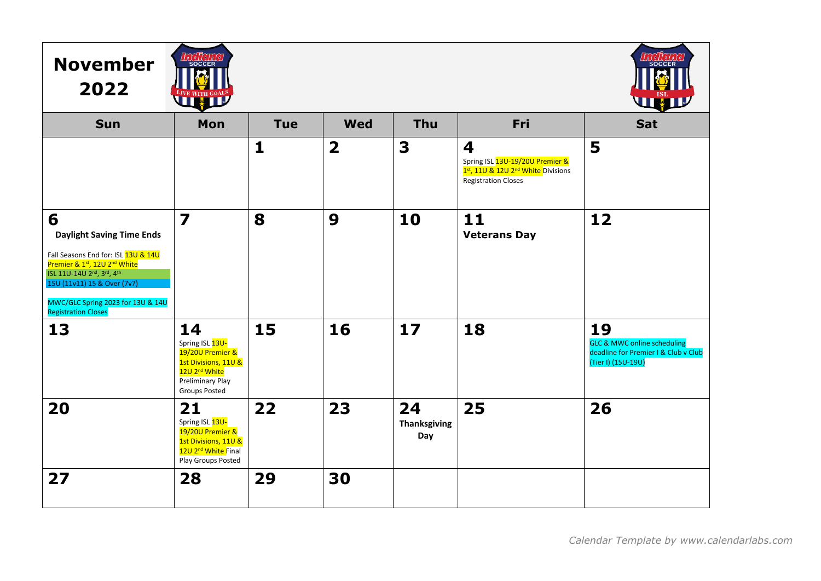| <b>November</b><br>2022                                                                                                                                                                                                                                                                       | LOC TO LOC<br><b>TALLED</b>                                                                                                                       |              |                         |                                  |                                                                                                                      | l a tel tel a<br><b>SOCCEF</b><br><u>Light</u>                                                             |
|-----------------------------------------------------------------------------------------------------------------------------------------------------------------------------------------------------------------------------------------------------------------------------------------------|---------------------------------------------------------------------------------------------------------------------------------------------------|--------------|-------------------------|----------------------------------|----------------------------------------------------------------------------------------------------------------------|------------------------------------------------------------------------------------------------------------|
| <b>Sun</b>                                                                                                                                                                                                                                                                                    | Mon                                                                                                                                               | <b>Tue</b>   | <b>Wed</b>              | <b>Thu</b>                       | Fri                                                                                                                  | <b>Sat</b>                                                                                                 |
|                                                                                                                                                                                                                                                                                               |                                                                                                                                                   | $\mathbf{1}$ | $\overline{\mathbf{2}}$ | 3                                | 4<br>Spring ISL 13U-19/20U Premier &<br>1st, 11U & 12U 2 <sup>nd</sup> White Divisions<br><b>Registration Closes</b> | 5                                                                                                          |
| 6<br><b>Daylight Saving Time Ends</b><br>Fall Seasons End for: ISL 13U & 14U<br>Premier & 1st, 12U 2 <sup>nd</sup> White<br>ISL 11U-14U 2 <sup>nd</sup> , 3 <sup>rd</sup> , 4 <sup>th</sup><br>15U (11v11) 15 & Over (7v7)<br>MWC/GLC Spring 2023 for 13U & 14U<br><b>Registration Closes</b> | $\overline{\mathbf{z}}$                                                                                                                           | 8            | 9                       | 10                               | 11<br><b>Veterans Day</b>                                                                                            | 12                                                                                                         |
| 13                                                                                                                                                                                                                                                                                            | 14<br>Spring ISL 13U-<br>19/20U Premier &<br>1st Divisions, 11U &<br>12U 2 <sup>nd</sup> White<br><b>Preliminary Play</b><br><b>Groups Posted</b> | 15           | 16                      | 17                               | 18                                                                                                                   | 19<br><b>GLC &amp; MWC online scheduling</b><br>deadline for Premier I & Club v Club<br>(Tier I) (15U-19U) |
| 20                                                                                                                                                                                                                                                                                            | 21<br>Spring ISL 13U-<br>19/20U Premier &<br>1st Divisions, 11U &<br>12U 2 <sup>nd</sup> White Final<br>Play Groups Posted                        | 22           | 23                      | 24<br><b>Thanksgiving</b><br>Day | 25                                                                                                                   | 26                                                                                                         |
| 27                                                                                                                                                                                                                                                                                            | 28                                                                                                                                                | 29           | 30                      |                                  |                                                                                                                      |                                                                                                            |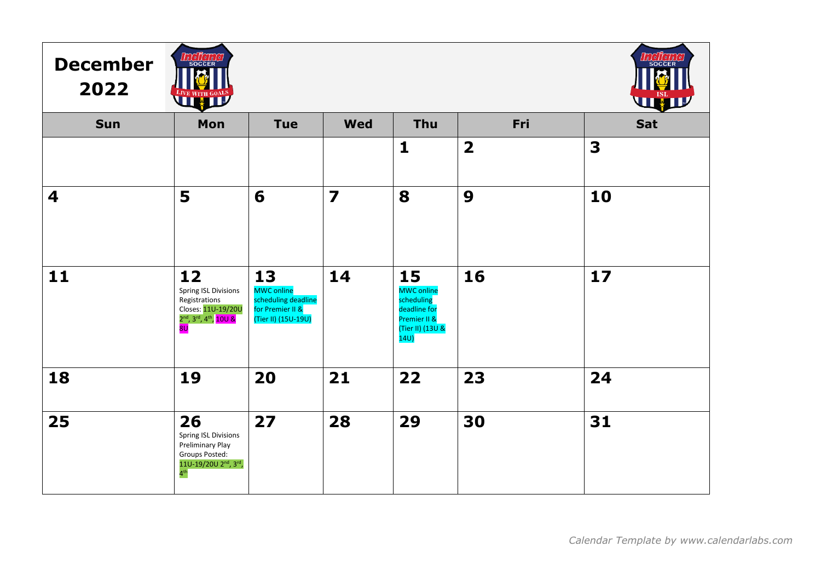| <b>December</b><br>2022 | <b>INGHCHIC</b><br>LIVE WITH GOALS                                                                                                                 |                                                                                           |                         |                                                                                                  |                         | <b>LICHCLI</b><br><b>THE SET OF STREET</b> |
|-------------------------|----------------------------------------------------------------------------------------------------------------------------------------------------|-------------------------------------------------------------------------------------------|-------------------------|--------------------------------------------------------------------------------------------------|-------------------------|--------------------------------------------|
| <b>Sun</b>              | Mon                                                                                                                                                | <b>Tue</b>                                                                                | <b>Wed</b>              | <b>Thu</b>                                                                                       | Fri                     | <b>Sat</b>                                 |
|                         |                                                                                                                                                    |                                                                                           |                         | $\mathbf{1}$                                                                                     | $\overline{\mathbf{2}}$ | 3                                          |
| 4                       | 5                                                                                                                                                  | 6                                                                                         | $\overline{\mathbf{z}}$ | 8                                                                                                | 9                       | 10                                         |
| 11                      | 12<br>Spring ISL Divisions<br>Registrations<br>Closes: 11U-19/20U<br>2 <sup>nd</sup> , 3 <sup>rd</sup> , 4 <sup>th</sup> , 10U &<br>8 <sub>U</sub> | 13<br><b>MWC online</b><br>scheduling deadline<br>for Premier II &<br>(Tier II) (15U-19U) | 14                      | 15<br><b>MWC online</b><br>scheduling<br>deadline for<br>Premier II &<br>(Tier II) (13U &<br>14U | 16                      | $17$                                       |
| 18                      | 19                                                                                                                                                 | 20                                                                                        | 21                      | 22                                                                                               | 23                      | 24                                         |
| 25                      | 26<br><b>Spring ISL Divisions</b><br>Preliminary Play<br>Groups Posted:<br>11U-19/20U 2 <sup>nd</sup> , 3rd,<br>4 <sup>th</sup>                    | 27                                                                                        | 28                      | 29                                                                                               | 30                      | 31                                         |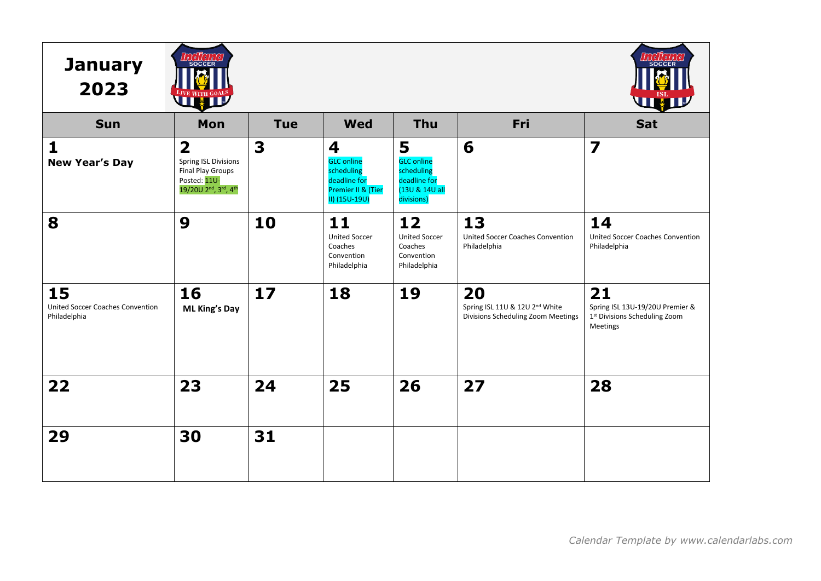| <b>January</b><br>2023                                 | SOCCER<br>LIVE WITH GOALS                                                                                                                                        |            |                                                                                             |                                                                                      |                                                                                        | rte II e Li<br>SOCCER<br>WW                                                        |
|--------------------------------------------------------|------------------------------------------------------------------------------------------------------------------------------------------------------------------|------------|---------------------------------------------------------------------------------------------|--------------------------------------------------------------------------------------|----------------------------------------------------------------------------------------|------------------------------------------------------------------------------------|
| <b>Sun</b>                                             | Mon                                                                                                                                                              | <b>Tue</b> | <b>Wed</b>                                                                                  | <b>Thu</b>                                                                           | Fri                                                                                    | <b>Sat</b>                                                                         |
| $\mathbf{1}$<br><b>New Year's Day</b>                  | $\overline{\mathbf{2}}$<br><b>Spring ISL Divisions</b><br><b>Final Play Groups</b><br>Posted: 11U-<br>19/20U 2 <sup>nd</sup> , 3 <sup>rd</sup> , 4 <sup>th</sup> | 3          | 4<br><b>GLC</b> online<br>scheduling<br>deadline for<br>Premier II & (Tier<br>II) (15U-19U) | 5<br><b>GLC</b> online<br>scheduling<br>deadline for<br>(13U & 14U all<br>divisions) | 6                                                                                      | $\overline{\mathbf{z}}$                                                            |
| 8                                                      | 9                                                                                                                                                                | 10         | 11<br><b>United Soccer</b><br>Coaches<br>Convention<br>Philadelphia                         | 12<br><b>United Soccer</b><br>Coaches<br>Convention<br>Philadelphia                  | 13<br>United Soccer Coaches Convention<br>Philadelphia                                 | 14<br>United Soccer Coaches Convention<br>Philadelphia                             |
| 15<br>United Soccer Coaches Convention<br>Philadelphia | 16<br><b>ML King's Day</b>                                                                                                                                       | 17         | 18                                                                                          | 19                                                                                   | 20<br>Spring ISL 11U & 12U 2 <sup>nd</sup> White<br>Divisions Scheduling Zoom Meetings | 21<br>Spring ISL 13U-19/20U Premier &<br>1st Divisions Scheduling Zoom<br>Meetings |
| 22                                                     | 23                                                                                                                                                               | 24         | 25                                                                                          | 26                                                                                   | 27                                                                                     | 28                                                                                 |
| 29                                                     | 30                                                                                                                                                               | 31         |                                                                                             |                                                                                      |                                                                                        |                                                                                    |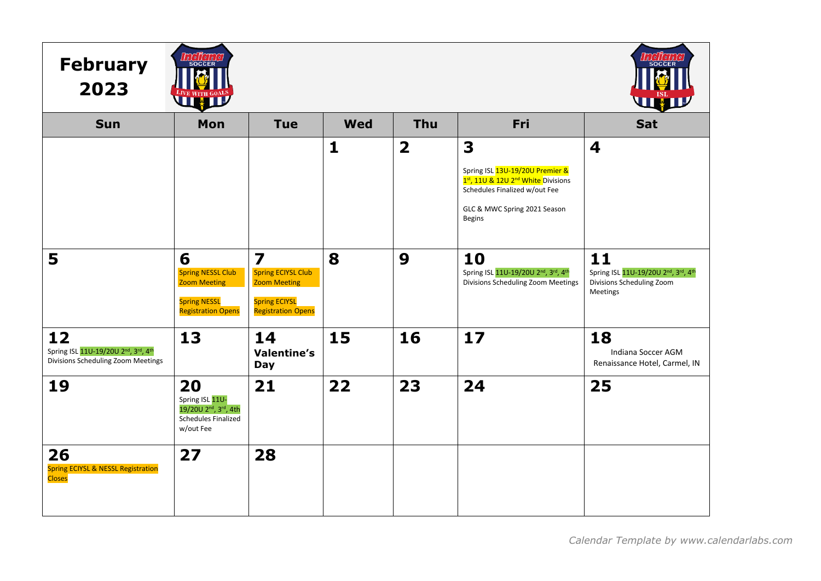| <b>February</b><br>2023                                                                | $\int_{a}^{b} \int_{c}^{b} \int_{c}^{c} \int_{a}^{c} \int_{c}^{c}$<br>SOCCER<br>LIVE WITH GOALS                    |                                                                                                                                  |              |                         |                                                                                                                                                                          | <b>LOC LOLO</b><br>WHI                                                                    |
|----------------------------------------------------------------------------------------|--------------------------------------------------------------------------------------------------------------------|----------------------------------------------------------------------------------------------------------------------------------|--------------|-------------------------|--------------------------------------------------------------------------------------------------------------------------------------------------------------------------|-------------------------------------------------------------------------------------------|
| <b>Sun</b>                                                                             | Mon                                                                                                                | <b>Tue</b>                                                                                                                       | <b>Wed</b>   | Thu                     | Fri                                                                                                                                                                      | <b>Sat</b>                                                                                |
|                                                                                        |                                                                                                                    |                                                                                                                                  | $\mathbf{1}$ | $\overline{\mathbf{2}}$ | 3<br>Spring ISL 13U-19/20U Premier &<br>1st, 11U & 12U 2 <sup>nd</sup> White Divisions<br>Schedules Finalized w/out Fee<br>GLC & MWC Spring 2021 Season<br><b>Begins</b> | 4                                                                                         |
| 5                                                                                      | 6<br><b>Spring NESSL Club</b><br><b>Zoom Meeting</b><br><b>Spring NESSL</b><br><b>Registration Opens</b>           | $\overline{\mathbf{z}}$<br><b>Spring ECIYSL Club</b><br><b>Zoom Meeting</b><br><b>Spring ECIYSL</b><br><b>Registration Opens</b> | 8            | 9                       | 10<br>Spring ISL 11U-19/20U 2nd, 3rd, 4th<br>Divisions Scheduling Zoom Meetings                                                                                          | 11<br>Spring ISL 11U-19/20U 2nd, 3rd, 4th<br><b>Divisions Scheduling Zoom</b><br>Meetings |
| 12<br>Spring ISL 11U-19/20U 2nd, 3rd, 4th<br><b>Divisions Scheduling Zoom Meetings</b> | 13                                                                                                                 | 14<br><b>Valentine's</b><br><b>Day</b>                                                                                           | 15           | 16                      | 17                                                                                                                                                                       | 18<br>Indiana Soccer AGM<br>Renaissance Hotel, Carmel, IN                                 |
| 19                                                                                     | 20<br>Spring ISL 11U-<br>19/20U 2 <sup>nd</sup> , 3 <sup>rd</sup> , 4th<br><b>Schedules Finalized</b><br>w/out Fee | 21                                                                                                                               | 22           | 23                      | 24                                                                                                                                                                       | 25                                                                                        |
| 26<br><b>Spring ECIYSL &amp; NESSL Registration</b><br><b>Closes</b>                   | 27                                                                                                                 | 28                                                                                                                               |              |                         |                                                                                                                                                                          |                                                                                           |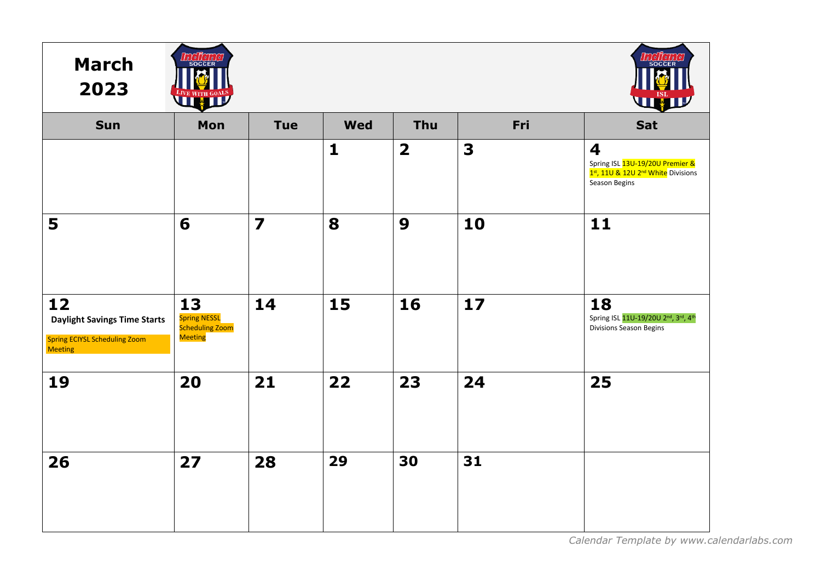| <b>March</b><br>2023                                                                                | $\int_{a}^{b} \int_{c}^{c} \int_{c}^{c} \int_{a}^{c}$<br>SOCCER<br>E WITH GOALS |                         |              |                         |                         | 019101<br>SOCCEF<br>WHIP                                                                                                                                    |
|-----------------------------------------------------------------------------------------------------|---------------------------------------------------------------------------------|-------------------------|--------------|-------------------------|-------------------------|-------------------------------------------------------------------------------------------------------------------------------------------------------------|
| <b>Sun</b>                                                                                          | Mon                                                                             | <b>Tue</b>              | <b>Wed</b>   | Thu                     | Fri                     | Sat                                                                                                                                                         |
|                                                                                                     |                                                                                 |                         | $\mathbf{1}$ | $\overline{\mathbf{2}}$ | $\overline{\mathbf{3}}$ | $\overline{\mathbf{4}}$<br>Spring ISL <mark>13U-19/20U Premier &amp;</mark><br>1 <sup>st</sup> , 11U & 12U 2 <sup>nd</sup> White Divisions<br>Season Begins |
| 5                                                                                                   | 6                                                                               | $\overline{\mathbf{z}}$ | 8            | 9                       | 10                      | 11                                                                                                                                                          |
| 12<br><b>Daylight Savings Time Starts</b><br><b>Spring ECIYSL Scheduling Zoom</b><br><b>Meeting</b> | 13<br><b>Spring NESSL</b><br><b>Scheduling Zoom</b><br>Meeting                  | 14                      | 15           | 16                      | 17                      | 18<br>Spring ISL 11U-19/20U 2 <sup>nd</sup> , 3rd, 4 <sup>th</sup><br>Divisions Season Begins                                                               |
| 19                                                                                                  | 20                                                                              | 21                      | 22           | 23                      | 24                      | 25                                                                                                                                                          |
| 26                                                                                                  | 27                                                                              | 28                      | 29           | 30                      | 31                      |                                                                                                                                                             |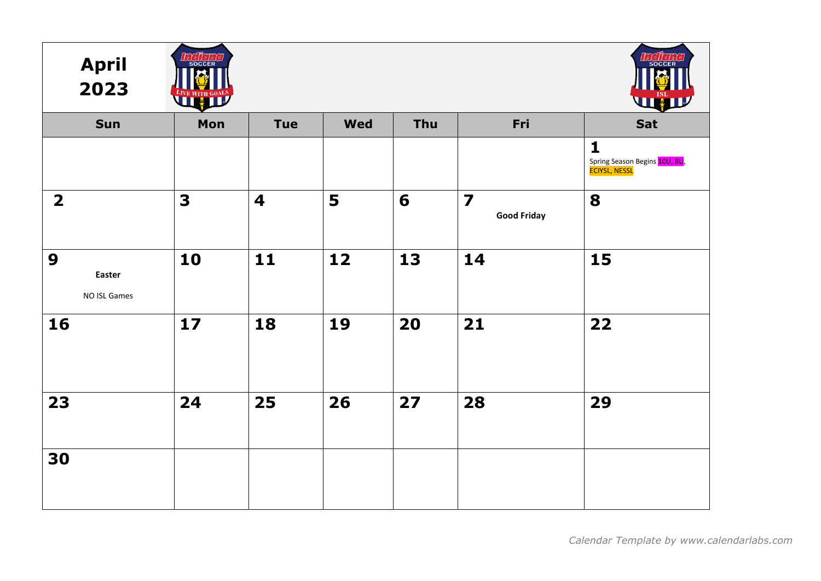| <b>April</b><br>2023                       | n I o I I o .<br>SOCCER<br><b>EAVE WITH GOALS</b> |                         |                 |     |                                               | <b>SOCCEF</b><br><b>THE TEAM</b>                                      |
|--------------------------------------------|---------------------------------------------------|-------------------------|-----------------|-----|-----------------------------------------------|-----------------------------------------------------------------------|
| Sun                                        | Mon                                               | <b>Tue</b>              | <b>Wed</b>      | Thu | Fri                                           | Sat                                                                   |
|                                            |                                                   |                         |                 |     |                                               | $\mathbf{1}$<br>Spring Season Begins 10U, 8U,<br><b>ECIYSL, NESSL</b> |
| $\overline{2}$                             | $\overline{\mathbf{3}}$                           | $\overline{\mathbf{4}}$ | 5               | 6   | $\overline{\mathbf{z}}$<br><b>Good Friday</b> | 8                                                                     |
| $\boldsymbol{9}$<br>Easter<br>NO ISL Games | 10                                                | 11                      | $\overline{12}$ | 13  | 14                                            | 15                                                                    |
| 16                                         | $17$                                              | 18                      | 19              | 20  | 21                                            | 22                                                                    |
| 23                                         | 24                                                | 25                      | 26              | 27  | 28                                            | 29                                                                    |
| 30                                         |                                                   |                         |                 |     |                                               |                                                                       |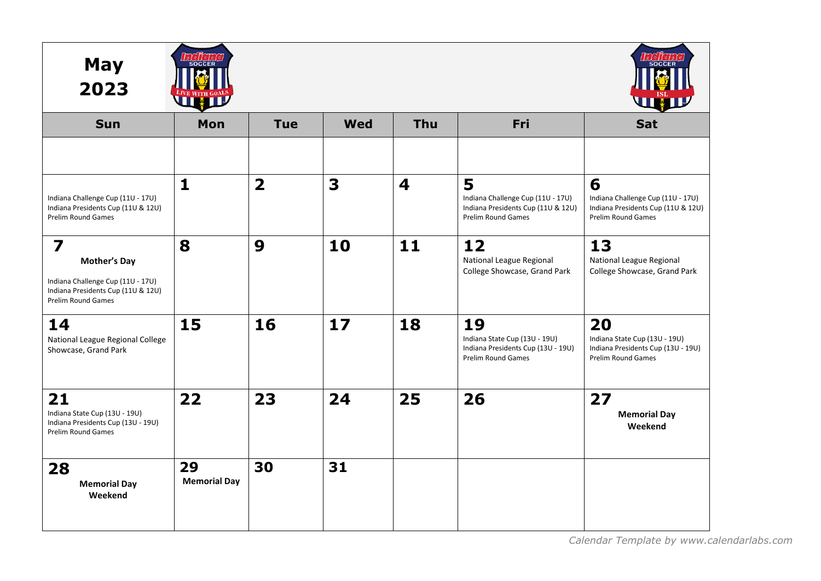| <b>May</b><br>2023                                                                                                                              |                           |                         |     |                         |                                                                                                           |                                                                                                           |
|-------------------------------------------------------------------------------------------------------------------------------------------------|---------------------------|-------------------------|-----|-------------------------|-----------------------------------------------------------------------------------------------------------|-----------------------------------------------------------------------------------------------------------|
| <b>Sun</b>                                                                                                                                      | Mon                       | <b>Tue</b>              | Wed | Thu                     | Fri                                                                                                       | Sat                                                                                                       |
|                                                                                                                                                 |                           |                         |     |                         |                                                                                                           |                                                                                                           |
| Indiana Challenge Cup (11U - 17U)<br>Indiana Presidents Cup (11U & 12U)<br>Prelim Round Games                                                   | $\mathbf{1}$              | $\overline{\mathbf{2}}$ | 3   | $\overline{\mathbf{4}}$ | 5<br>Indiana Challenge Cup (11U - 17U)<br>Indiana Presidents Cup (11U & 12U)<br><b>Prelim Round Games</b> | 6<br>Indiana Challenge Cup (11U - 17U)<br>Indiana Presidents Cup (11U & 12U)<br><b>Prelim Round Games</b> |
| $\overline{\mathbf{z}}$<br><b>Mother's Day</b><br>Indiana Challenge Cup (11U - 17U)<br>Indiana Presidents Cup (11U & 12U)<br>Prelim Round Games | 8                         | 9                       | 10  | 11                      | 12<br>National League Regional<br>College Showcase, Grand Park                                            | 13<br>National League Regional<br>College Showcase, Grand Park                                            |
| 14<br>National League Regional College<br>Showcase, Grand Park                                                                                  | 15                        | 16                      | 17  | 18                      | 19<br>Indiana State Cup (13U - 19U)<br>Indiana Presidents Cup (13U - 19U)<br><b>Prelim Round Games</b>    | 20<br>Indiana State Cup (13U - 19U)<br>Indiana Presidents Cup (13U - 19U)<br><b>Prelim Round Games</b>    |
| 21<br>Indiana State Cup (13U - 19U)<br>Indiana Presidents Cup (13U - 19U)<br><b>Prelim Round Games</b>                                          | 22                        | 23                      | 24  | 25                      | 26                                                                                                        | 27<br><b>Memorial Day</b><br>Weekend                                                                      |
| 28<br><b>Memorial Day</b><br>Weekend                                                                                                            | 29<br><b>Memorial Day</b> | 30                      | 31  |                         |                                                                                                           |                                                                                                           |